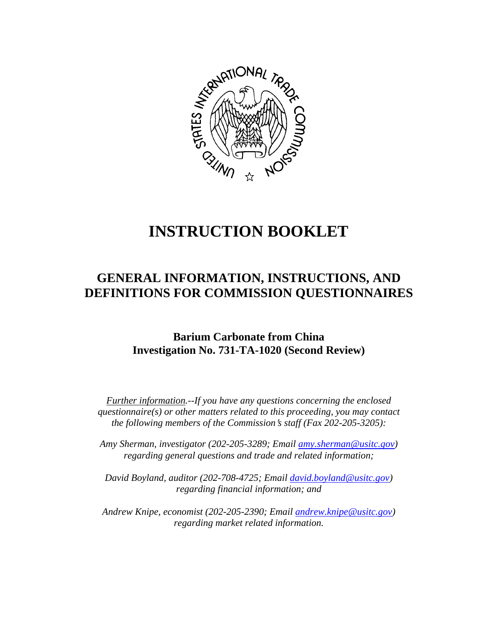

# **INSTRUCTION BOOKLET**

## **GENERAL INFORMATION, INSTRUCTIONS, AND DEFINITIONS FOR COMMISSION QUESTIONNAIRES**

### **Barium Carbonate from China Investigation No. 731-TA-1020 (Second Review)**

*Further information.--If you have any questions concerning the enclosed questionnaire(s) or other matters related to this proceeding, you may contact the following members of the Commission's staff (Fax 202-205-3205):* 

*Amy Sherman, investigator (202-205-3289; Email amy.sherman@usitc.gov) regarding general questions and trade and related information;* 

 *David Boyland, auditor (202-708-4725; Email david.boyland@usitc.gov) regarding financial information; and* 

 *Andrew Knipe, economist (202-205-2390; Email andrew.knipe@usitc.gov) regarding market related information.*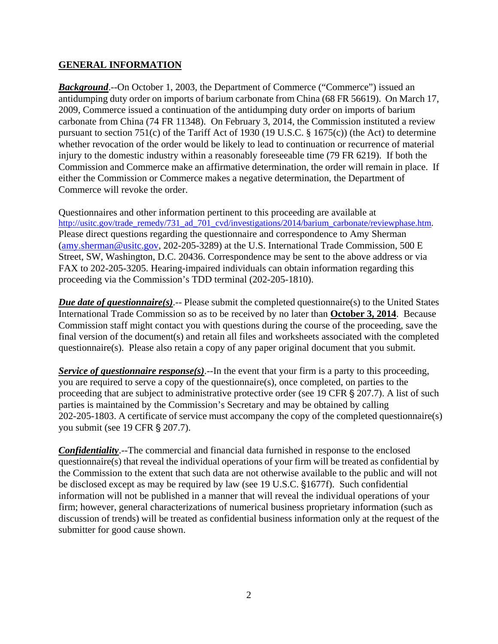#### **GENERAL INFORMATION**

*Background*.--On October 1, 2003, the Department of Commerce ("Commerce") issued an antidumping duty order on imports of barium carbonate from China (68 FR 56619). On March 17, 2009, Commerce issued a continuation of the antidumping duty order on imports of barium carbonate from China (74 FR 11348). On February 3, 2014, the Commission instituted a review pursuant to section 751(c) of the Tariff Act of 1930 (19 U.S.C. § 1675(c)) (the Act) to determine whether revocation of the order would be likely to lead to continuation or recurrence of material injury to the domestic industry within a reasonably foreseeable time (79 FR 6219). If both the Commission and Commerce make an affirmative determination, the order will remain in place. If either the Commission or Commerce makes a negative determination, the Department of Commerce will revoke the order.

Questionnaires and other information pertinent to this proceeding are available at http://usitc.gov/trade\_remedy/731\_ad\_701\_cvd/investigations/2014/barium\_carbonate/reviewphase.htm. Please direct questions regarding the questionnaire and correspondence to Amy Sherman (amy.sherman@usitc.gov, 202-205-3289) at the U.S. International Trade Commission, 500 E Street, SW, Washington, D.C. 20436. Correspondence may be sent to the above address or via FAX to 202-205-3205. Hearing-impaired individuals can obtain information regarding this proceeding via the Commission's TDD terminal (202-205-1810).

*Due date of questionnaire(s)*.-- Please submit the completed questionnaire(s) to the United States International Trade Commission so as to be received by no later than **October 3, 2014**. Because Commission staff might contact you with questions during the course of the proceeding, save the final version of the document(s) and retain all files and worksheets associated with the completed questionnaire(s). Please also retain a copy of any paper original document that you submit.

*Service of questionnaire response(s)*.--In the event that your firm is a party to this proceeding, you are required to serve a copy of the questionnaire(s), once completed, on parties to the proceeding that are subject to administrative protective order (see 19 CFR § 207.7). A list of such parties is maintained by the Commission's Secretary and may be obtained by calling 202-205-1803. A certificate of service must accompany the copy of the completed questionnaire(s) you submit (see 19 CFR § 207.7).

*Confidentiality*.--The commercial and financial data furnished in response to the enclosed questionnaire(s) that reveal the individual operations of your firm will be treated as confidential by the Commission to the extent that such data are not otherwise available to the public and will not be disclosed except as may be required by law (see  $19$  U.S.C.  $$1677f$ ). Such confidential information will not be published in a manner that will reveal the individual operations of your firm; however, general characterizations of numerical business proprietary information (such as discussion of trends) will be treated as confidential business information only at the request of the submitter for good cause shown.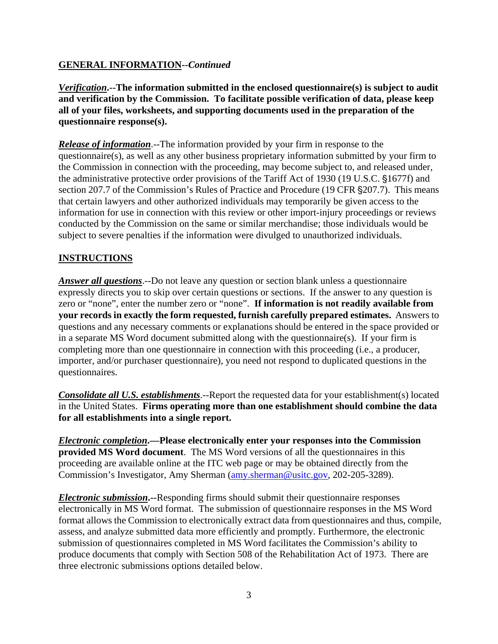#### **GENERAL INFORMATION--***Continued*

*Verification***.--The information submitted in the enclosed questionnaire(s) is subject to audit and verification by the Commission. To facilitate possible verification of data, please keep all of your files, worksheets, and supporting documents used in the preparation of the questionnaire response(s).**

*Release of information*.--The information provided by your firm in response to the questionnaire(s), as well as any other business proprietary information submitted by your firm to the Commission in connection with the proceeding, may become subject to, and released under, the administrative protective order provisions of the Tariff Act of 1930 (19 U.S.C. §1677f) and section 207.7 of the Commission's Rules of Practice and Procedure (19 CFR § 207.7). This means that certain lawyers and other authorized individuals may temporarily be given access to the information for use in connection with this review or other import-injury proceedings or reviews conducted by the Commission on the same or similar merchandise; those individuals would be subject to severe penalties if the information were divulged to unauthorized individuals.

#### **INSTRUCTIONS**

*Answer all questions*.--Do not leave any question or section blank unless a questionnaire expressly directs you to skip over certain questions or sections. If the answer to any question is zero or "none", enter the number zero or "none". **If information is not readily available from your records in exactly the form requested, furnish carefully prepared estimates.** Answers to questions and any necessary comments or explanations should be entered in the space provided or in a separate MS Word document submitted along with the questionnaire(s). If your firm is completing more than one questionnaire in connection with this proceeding (i.e., a producer, importer, and/or purchaser questionnaire), you need not respond to duplicated questions in the questionnaires.

*Consolidate all U.S. establishments*.--Report the requested data for your establishment(s) located in the United States. **Firms operating more than one establishment should combine the data for all establishments into a single report.**

*Electronic completion***.—Please electronically enter your responses into the Commission provided MS Word document**. The MS Word versions of all the questionnaires in this proceeding are available online at the ITC web page or may be obtained directly from the Commission's Investigator, Amy Sherman (amy.sherman@usitc.gov, 202-205-3289).

*Electronic submission***.--**Responding firms should submit their questionnaire responses electronically in MS Word format. The submission of questionnaire responses in the MS Word format allows the Commission to electronically extract data from questionnaires and thus, compile, assess, and analyze submitted data more efficiently and promptly. Furthermore, the electronic submission of questionnaires completed in MS Word facilitates the Commission's ability to produce documents that comply with Section 508 of the Rehabilitation Act of 1973. There are three electronic submissions options detailed below.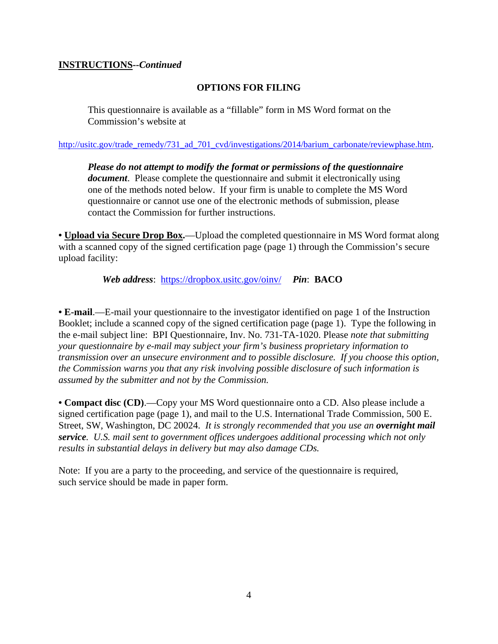#### **INSTRUCTIONS--***Continued*

#### **OPTIONS FOR FILING**

This questionnaire is available as a "fillable" form in MS Word format on the Commission's website at

http://usitc.gov/trade\_remedy/731\_ad\_701\_cvd/investigations/2014/barium\_carbonate/reviewphase.htm.

*Please do not attempt to modify the format or permissions of the questionnaire document*. Please complete the questionnaire and submit it electronically using one of the methods noted below. If your firm is unable to complete the MS Word questionnaire or cannot use one of the electronic methods of submission, please contact the Commission for further instructions.

• **Upload via Secure Drop Box.**—Upload the completed questionnaire in MS Word format along with a scanned copy of the signed certification page (page 1) through the Commission's secure upload facility:

*Web address*: https://dropbox.usitc.gov/oinv/ *Pin*: **BACO**

**• E-mail**.—E-mail your questionnaire to the investigator identified on page 1 of the Instruction Booklet; include a scanned copy of the signed certification page (page 1). Type the following in the e-mail subject line: BPI Questionnaire, Inv. No. 731-TA-1020. Please *note that submitting your questionnaire by e-mail may subject your firm's business proprietary information to transmission over an unsecure environment and to possible disclosure. If you choose this option, the Commission warns you that any risk involving possible disclosure of such information is assumed by the submitter and not by the Commission.* 

**• Compact disc (CD)**.—Copy your MS Word questionnaire onto a CD. Also please include a signed certification page (page 1), and mail to the U.S. International Trade Commission, 500 E. Street, SW, Washington, DC 20024. *It is strongly recommended that you use an overnight mail service. U.S. mail sent to government offices undergoes additional processing which not only results in substantial delays in delivery but may also damage CDs.* 

Note: If you are a party to the proceeding, and service of the questionnaire is required, such service should be made in paper form.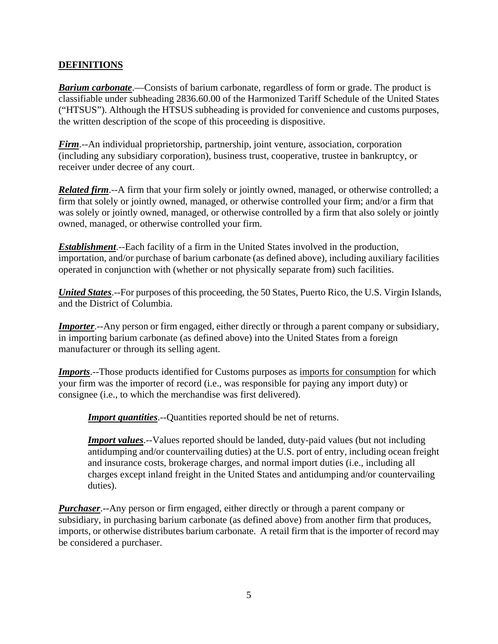#### **DEFINITIONS**

*Barium carbonate*.—Consists of barium carbonate, regardless of form or grade. The product is classifiable under subheading 2836.60.00 of the Harmonized Tariff Schedule of the United States ("HTSUS"). Although the HTSUS subheading is provided for convenience and customs purposes, the written description of the scope of this proceeding is dispositive.

*Firm*.--An individual proprietorship, partnership, joint venture, association, corporation (including any subsidiary corporation), business trust, cooperative, trustee in bankruptcy, or receiver under decree of any court.

*Related firm*.--A firm that your firm solely or jointly owned, managed, or otherwise controlled; a firm that solely or jointly owned, managed, or otherwise controlled your firm; and/or a firm that was solely or jointly owned, managed, or otherwise controlled by a firm that also solely or jointly owned, managed, or otherwise controlled your firm.

*Establishment*.--Each facility of a firm in the United States involved in the production, importation, and/or purchase of barium carbonate (as defined above), including auxiliary facilities operated in conjunction with (whether or not physically separate from) such facilities.

*United States*.--For purposes of this proceeding, the 50 States, Puerto Rico, the U.S. Virgin Islands, and the District of Columbia.

*Importer*.--Any person or firm engaged, either directly or through a parent company or subsidiary, in importing barium carbonate (as defined above) into the United States from a foreign manufacturer or through its selling agent.

*Imports*.--Those products identified for Customs purposes as imports for consumption for which your firm was the importer of record (i.e., was responsible for paying any import duty) or consignee (i.e., to which the merchandise was first delivered).

**Import quantities**.--Quantities reported should be net of returns.

**Import values**.--Values reported should be landed, duty-paid values (but not including antidumping and/or countervailing duties) at the U.S. port of entry, including ocean freight and insurance costs, brokerage charges, and normal import duties (i.e., including all charges except inland freight in the United States and antidumping and/or countervailing duties).

*Purchaser*.--Any person or firm engaged, either directly or through a parent company or subsidiary, in purchasing barium carbonate (as defined above) from another firm that produces, imports, or otherwise distributes barium carbonate. A retail firm that is the importer of record may be considered a purchaser.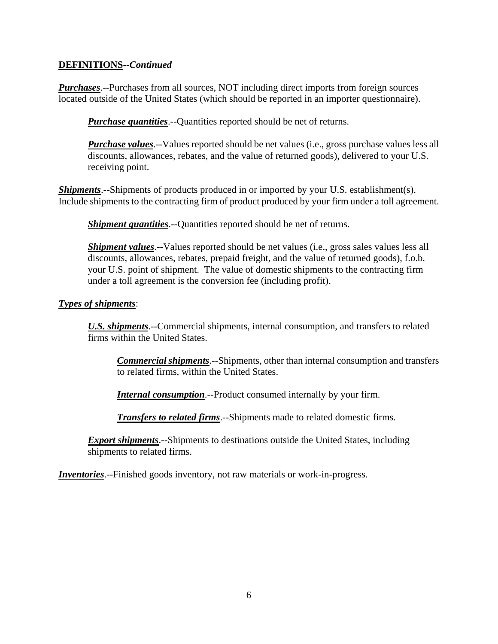#### **DEFINITIONS--***Continued*

*Purchases*.--Purchases from all sources, NOT including direct imports from foreign sources located outside of the United States (which should be reported in an importer questionnaire).

*Purchase quantities*.--Quantities reported should be net of returns.

*Purchase values*.--Values reported should be net values (i.e., gross purchase values less all discounts, allowances, rebates, and the value of returned goods), delivered to your U.S. receiving point.

*Shipments*.--Shipments of products produced in or imported by your U.S. establishment(s). Include shipments to the contracting firm of product produced by your firm under a toll agreement.

*Shipment quantities*.--Quantities reported should be net of returns.

*Shipment values*.--Values reported should be net values (*i.e.*, gross sales values less all discounts, allowances, rebates, prepaid freight, and the value of returned goods), f.o.b. your U.S. point of shipment. The value of domestic shipments to the contracting firm under a toll agreement is the conversion fee (including profit).

#### *Types of shipments*:

*U.S. shipments*.--Commercial shipments, internal consumption, and transfers to related firms within the United States.

*Commercial shipments*.--Shipments, other than internal consumption and transfers to related firms, within the United States.

*Internal consumption*.--Product consumed internally by your firm.

*Transfers to related firms*.--Shipments made to related domestic firms.

*Export shipments*.--Shipments to destinations outside the United States, including shipments to related firms.

*Inventories*.--Finished goods inventory, not raw materials or work-in-progress.